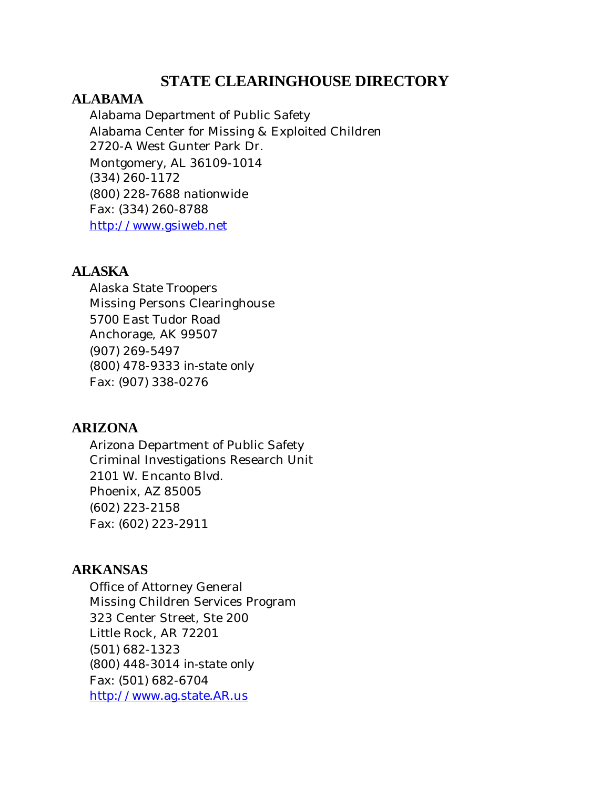# **STATE CLEARINGHOUSE DIRECTORY**

## **ALABAMA**

Alabama Department of Public Safety Alabama Center for Missing & Exploited Children 2720-A West Gunter Park Dr. Montgomery, AL 36109-1014 (334) 260-1172 (800) 228-7688 *nationwide*  Fax: (334) 260-8788 <http://www.gsiweb.net>

#### **ALASKA**

Alaska State Troopers Missing Persons Clearinghouse 5700 East Tudor Road Anchorage, AK 99507 (907) 269-5497 (800) 478-9333 *in-state only*  Fax: (907) 338-0276

## **ARIZONA**

Arizona Department of Public Safety Criminal Investigations Research Unit 2101 W. Encanto Blvd. Phoenix, AZ 85005 (602) 223-2158 Fax: (602) 223-2911

# **ARKANSAS**

Office of Attorney General Missing Children Services Program 323 Center Street, Ste 200 Little Rock, AR 72201 (501) 682-1323 (800) 448-3014 *in-state only*  Fax: (501) 682-6704 <http://www.ag.state.AR.us>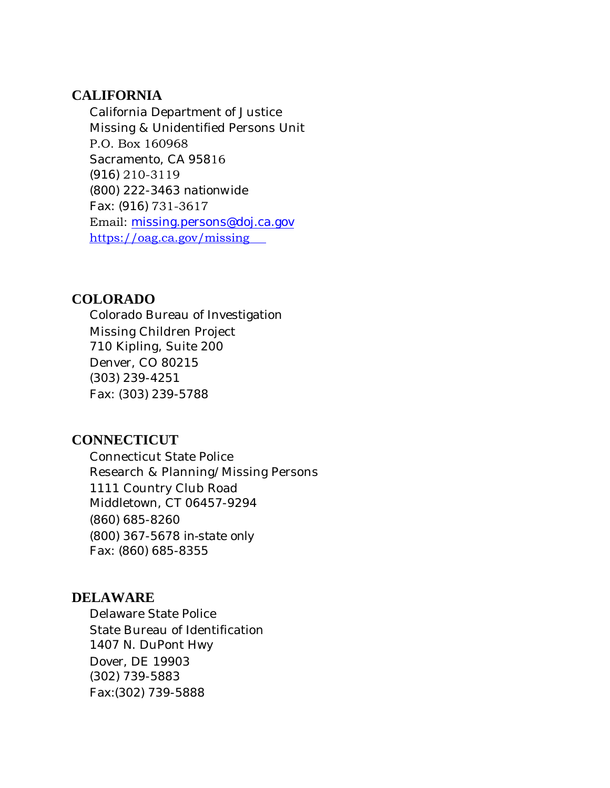#### **CALIFORNIA**

California Department of Justice Missing & Unidentified Persons Unit P.O. Box 160968 Sacramento, CA 95816 (916) 210-3119 (800) 222-3463 *nationwide*  Fax: (916) 731-3617 Email: [missing.persons@doj.ca.gov](mailto:missing.persons@doj.ca.gov) [https://oag.ca.gov/missin](ag.ca.gov/missing/)g

#### **COLORADO**

Colorado Bureau of Investigation Missing Children Project 710 Kipling, Suite 200 Denver, CO 80215 (303) 239-4251 Fax: (303) 239-5788

# **CONNECTICUT**

Connecticut State Police Research & Planning/Missing Persons 1111 Country Club Road Middletown, CT 06457-9294 (860) 685-8260 (800) 367-5678 *in-state only*  Fax: (860) 685-8355

## **DELAWARE**

Delaware State Police State Bureau of Identification 1407 N. DuPont Hwy Dover, DE 19903 (302) 739-5883 Fax:(302) 739-5888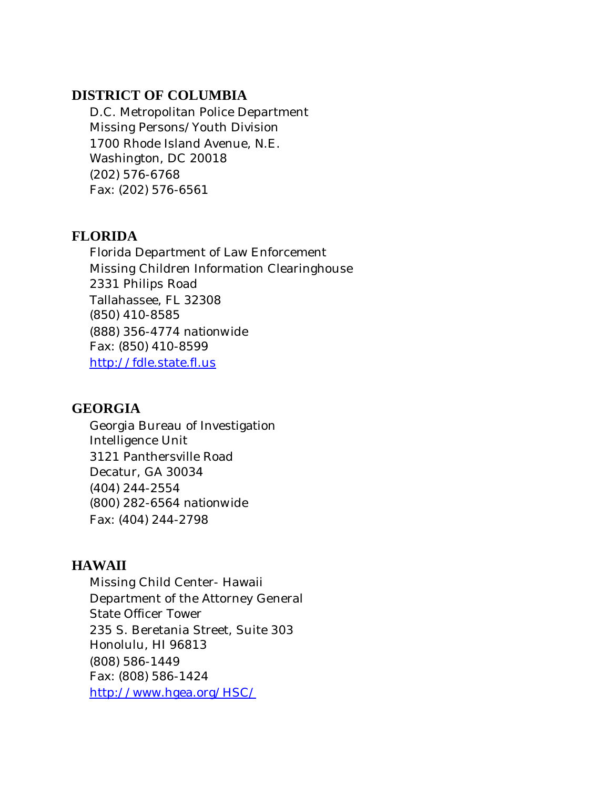## **DISTRICT OF COLUMBIA**

D.C. Metropolitan Police Department Missing Persons/Youth Division 1700 Rhode Island Avenue, N.E. Washington, DC 20018 (202) 576-6768 Fax: (202) 576-6561

# **FLORIDA**

Florida Department of Law Enforcement Missing Children Information Clearinghouse 2331 Philips Road Tallahassee, FL 32308 (850) 410-8585 (888) 356-4774 *nationwide*  Fax: (850) 410-8599 <http://fdle.state.fl.us>

# **GEORGIA**

Georgia Bureau of Investigation Intelligence Unit 3121 Panthersville Road Decatur, GA 30034 (404) 244-2554 (800) 282-6564 *nationwide*  Fax: (404) 244-2798

# **HAWAII**

Missing Child Center- Hawaii Department of the Attorney General State Officer Tower 235 S. Beretania Street, Suite 303 Honolulu, HI 96813 (808) 586-1449 Fax: (808) 586-1424 [http://www.hgea.org/HSC/](http://www.hgea.org/HSC)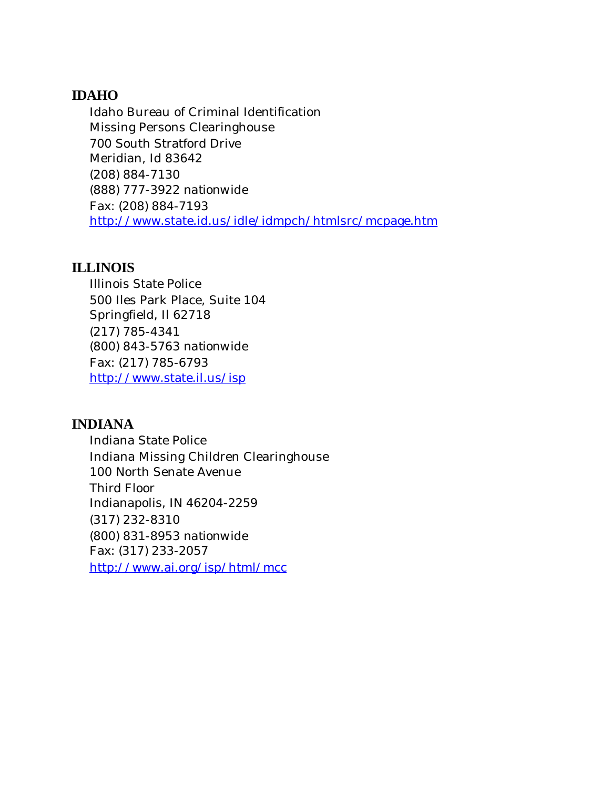# **IDAHO**

Idaho Bureau of Criminal Identification Missing Persons Clearinghouse 700 South Stratford Drive Meridian, Id 83642 (208) 884-7130 (888) 777-3922 *nationwide*  Fax: (208) 884-7193 <http://www.state.id.us/idle/idmpch/htmlsrc/mcpage.htm>

## **ILLINOIS**

Illinois State Police 500 Iles Park Place, Suite 104 Springfield, Il 62718 (217) 785-4341 (800) 843-5763 *nationwide*  Fax: (217) 785-6793 <http://www.state.il.us/isp>

# **INDIANA**

Indiana State Police Indiana Missing Children Clearinghouse 100 North Senate Avenue Third Floor Indianapolis, IN 46204-2259 (317) 232-8310 (800) 831-8953 *nationwide*  Fax: (317) 233-2057 <http://www.ai.org/isp/html/mcc>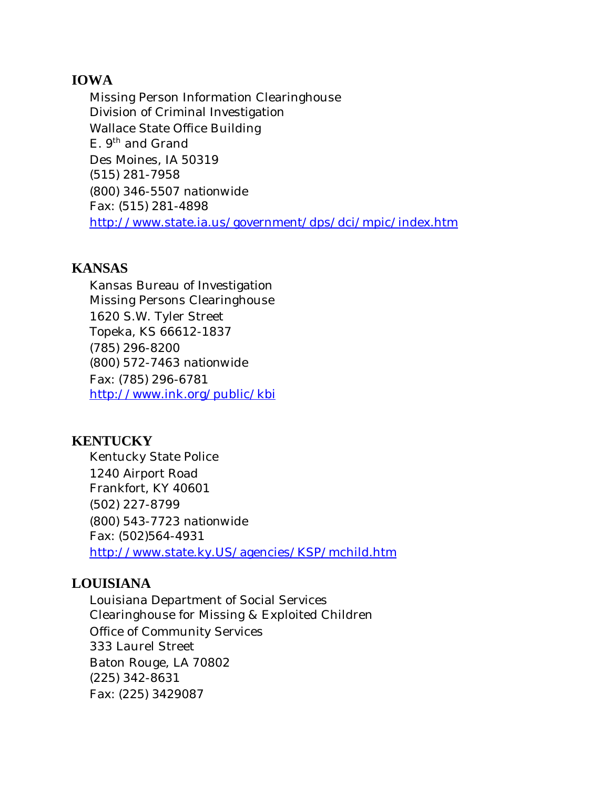## **IOWA**

Missing Person Information Clearinghouse Division of Criminal Investigation Wallace State Office Building E. 9<sup>th</sup> and Grand Des Moines, IA 50319 (515) 281-7958 (800) 346-5507 *nationwide*  Fax: (515) 281-4898 <http://www.state.ia.us/government/dps/dci/mpic/index.htm>

## **KANSAS**

Kansas Bureau of Investigation Missing Persons Clearinghouse 1620 S.W. Tyler Street Topeka, KS 66612-1837 (785) 296-8200 (800) 572-7463 *nationwide*  Fax: (785) 296-6781 <http://www.ink.org/public/kbi>

# **KENTUCKY**

Kentucky State Police 1240 Airport Road Frankfort, KY 40601 (502) 227-8799 (800) 543-7723 *nationwide*  Fax: (502)564-4931 <http://www.state.ky.US/agencies/KSP/mchild.htm>

# **LOUISIANA**

Louisiana Department of Social Services Clearinghouse for Missing & Exploited Children Office of Community Services 333 Laurel Street Baton Rouge, LA 70802 (225) 342-8631 Fax: (225) 3429087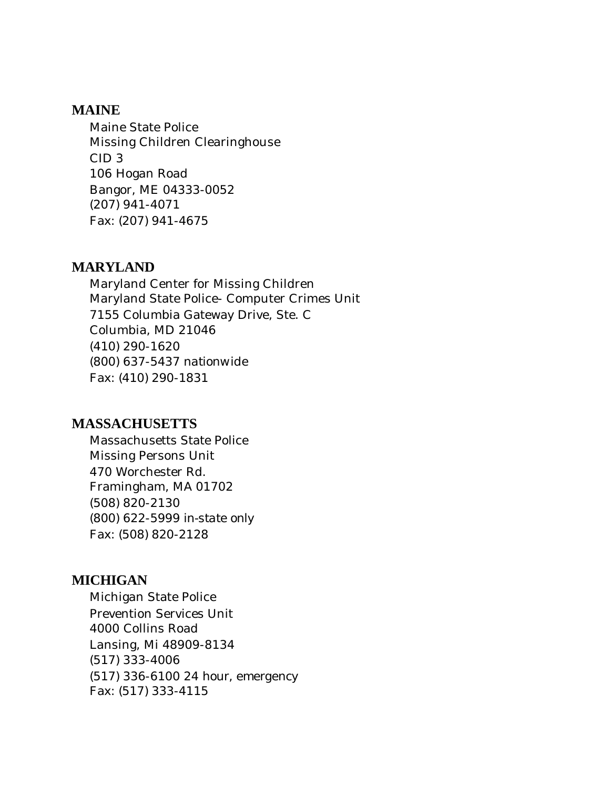## **MAINE**

Maine State Police Missing Children Clearinghouse CID 3 106 Hogan Road Bangor, ME 04333-0052 (207) 941-4071 Fax: (207) 941-4675

#### **MARYLAND**

Maryland Center for Missing Children Maryland State Police- Computer Crimes Unit 7155 Columbia Gateway Drive, Ste. C Columbia, MD 21046 (410) 290-1620 (800) 637-5437 *nationwide*  Fax: (410) 290-1831

## **MASSACHUSETTS**

Massachusetts State Police Missing Persons Unit 470 Worchester Rd. Framingham, MA 01702 (508) 820-2130 (800) 622-5999 *in-state only*  Fax: (508) 820-2128

## **MICHIGAN**

Michigan State Police Prevention Services Unit 4000 Collins Road Lansing, Mi 48909-8134 (517) 333-4006 (517) 336-6100 *24 hour, emergency*  Fax: (517) 333-4115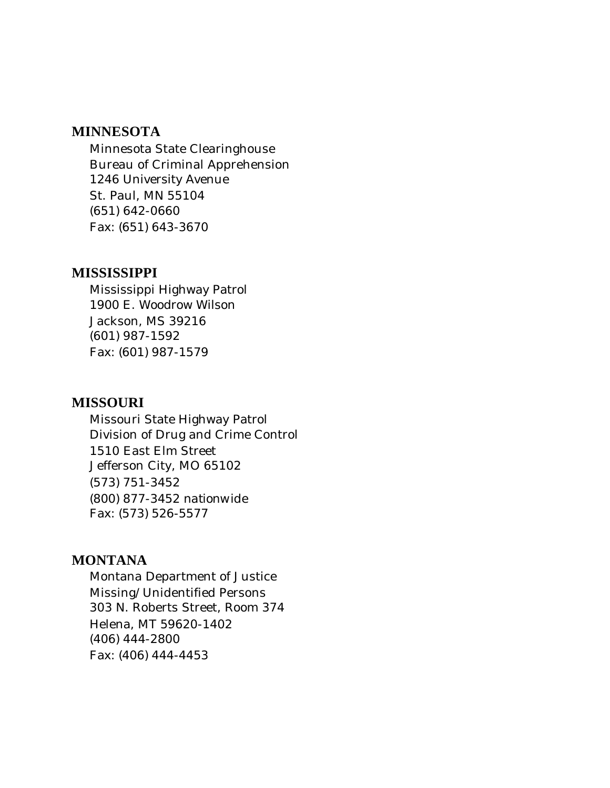#### **MINNESOTA**

Minnesota State Clearinghouse Bureau of Criminal Apprehension 1246 University Avenue St. Paul, MN 55104 (651) 642-0660 Fax: (651) 643-3670

#### **MISSISSIPPI**

Mississippi Highway Patrol 1900 E. Woodrow Wilson Jackson, MS 39216 (601) 987-1592 Fax: (601) 987-1579

#### **MISSOURI**

Missouri State Highway Patrol Division of Drug and Crime Control 1510 East Elm Street Jefferson City, MO 65102 (573) 751-3452 (800) 877-3452 *nationwide*  Fax: (573) 526-5577

## **MONTANA**

Montana Department of Justice Missing/Unidentified Persons 303 N. Roberts Street, Room 374 Helena, MT 59620-1402 (406) 444-2800 Fax: (406) 444-4453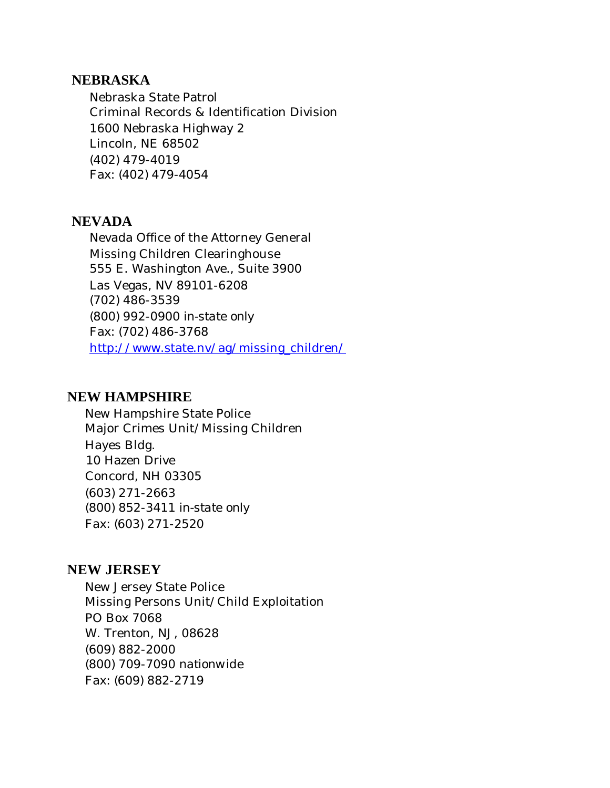#### **NEBRASKA**

Nebraska State Patrol Criminal Records & Identification Division 1600 Nebraska Highway 2 Lincoln, NE 68502 (402) 479-4019 Fax: (402) 479-4054

#### **NEVADA**

Nevada Office of the Attorney General Missing Children Clearinghouse 555 E. Washington Ave., Suite 3900 Las Vegas, NV 89101-6208 (702) 486-3539 (800) 992-0900 *in-state only*  Fax: (702) 486-3768 [http://www.state.nv/ag/missing\\_children/](http://www.state.nv/ag/missing_children)

#### **NEW HAMPSHIRE**

New Hampshire State Police Major Crimes Unit/Missing Children Hayes Bldg. 10 Hazen Drive Concord, NH 03305 (603) 271-2663 (800) 852-3411 *in-state only*  Fax: (603) 271-2520

## **NEW JERSEY**

New Jersey State Police Missing Persons Unit/Child Exploitation PO Box 7068 W. Trenton, NJ, 08628 (609) 882-2000 (800) 709-7090 *nationwide*  Fax: (609) 882-2719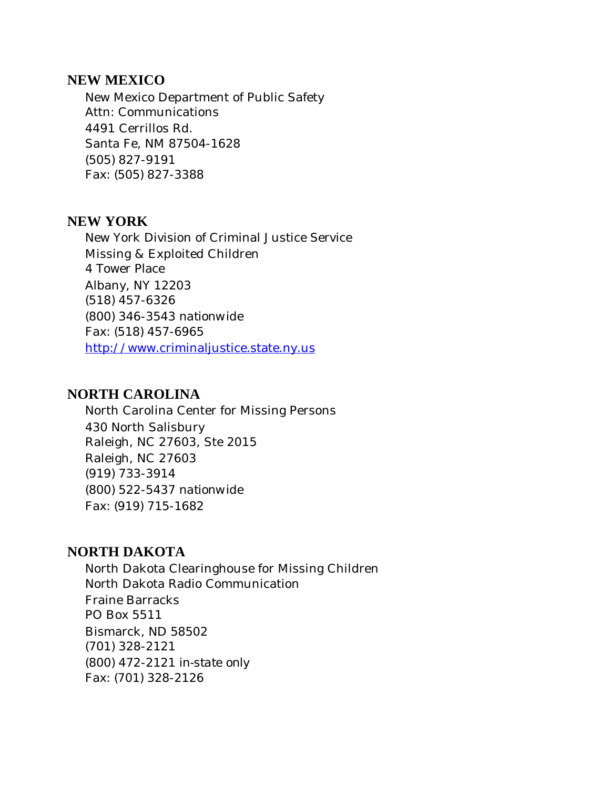#### **NEW MEXICO**

New Mexico Department of Public Safety Attn: Communications 4491 Cerrillos Rd. Santa Fe, NM 87504-1628 (505) 827-9191 Fax: (505) 827-3388

## **NEW YORK**

New York Division of Criminal Justice Service Missing & Exploited Children 4 Tower Place Albany, NY 12203 (518) 457-6326 (800) 346-3543 *nationwide*  Fax: (518) 457-6965 <http://www.criminaljustice.state.ny.us>

## **NORTH CAROLINA**

North Carolina Center for Missing Persons 430 North Salisbury Raleigh, NC 27603, Ste 2015 Raleigh, NC 27603 (919) 733-3914 (800) 522-5437 *nationwide*  Fax: (919) 715-1682

## **NORTH DAKOTA**

North Dakota Clearinghouse for Missing Children North Dakota Radio Communication Fraine Barracks PO Box 5511 Bismarck, ND 58502 (701) 328-2121 (800) 472-2121 *in-state only*  Fax: (701) 328-2126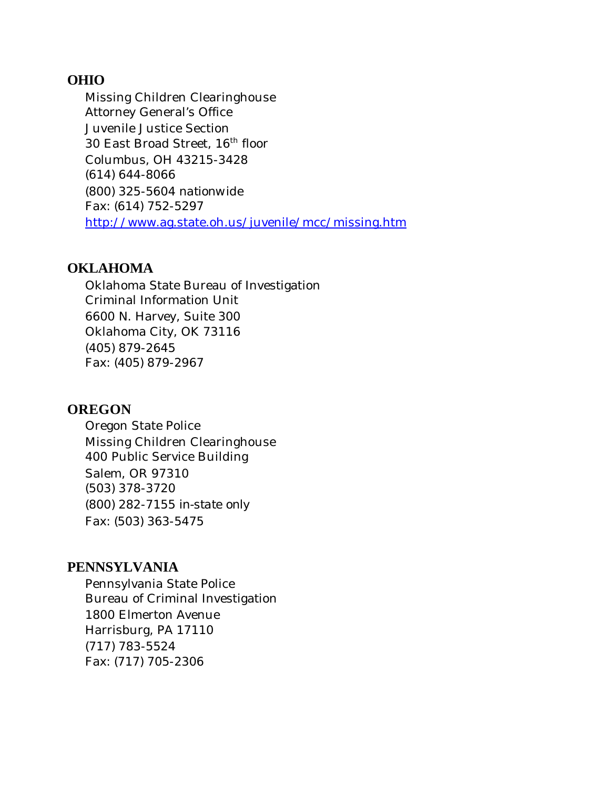#### **OHIO**

Missing Children Clearinghouse Attorney General's Office Juvenile Justice Section 30 East Broad Street, 16<sup>th</sup> floor Columbus, OH 43215-3428 (614) 644-8066 (800) 325-5604 *nationwide*  Fax: (614) 752-5297 <http://www.ag.state.oh.us/juvenile/mcc/missing.htm>

#### **OKLAHOMA**

Oklahoma State Bureau of Investigation Criminal Information Unit 6600 N. Harvey, Suite 300 Oklahoma City, OK 73116 (405) 879-2645 Fax: (405) 879-2967

## **OREGON**

Oregon State Police Missing Children Clearinghouse 400 Public Service Building Salem, OR 97310 (503) 378-3720 (800) 282-7155 *in-state only*  Fax: (503) 363-5475

## **PENNSYLVANIA**

Pennsylvania State Police Bureau of Criminal Investigation 1800 Elmerton Avenue Harrisburg, PA 17110 (717) 783-5524 Fax: (717) 705-2306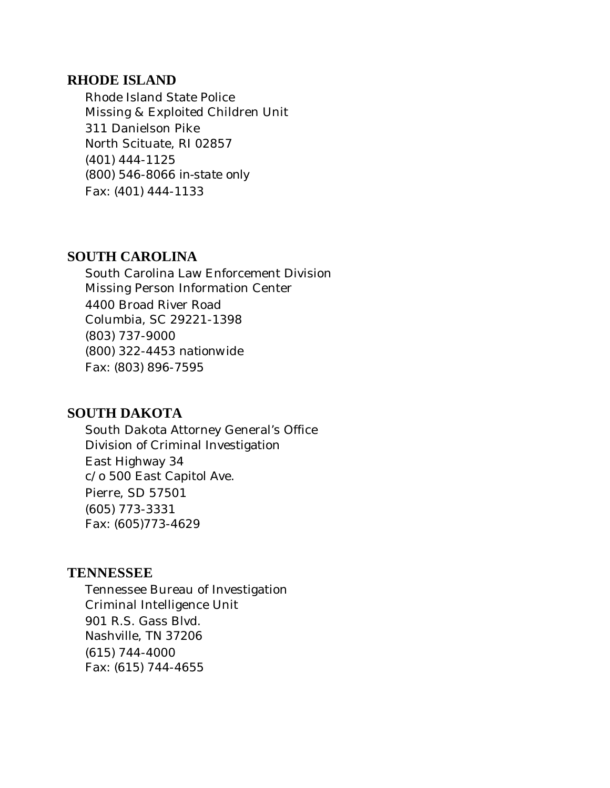#### **RHODE ISLAND**

Rhode Island State Police Missing & Exploited Children Unit 311 Danielson Pike North Scituate, RI 02857 (401) 444-1125 (800) 546-8066 *in-state only*  Fax: (401) 444-1133

## **SOUTH CAROLINA**

South Carolina Law Enforcement Division Missing Person Information Center 4400 Broad River Road Columbia, SC 29221-1398 (803) 737-9000 (800) 322-4453 *nationwide*  Fax: (803) 896-7595

#### **SOUTH DAKOTA**

South Dakota Attorney General's Office Division of Criminal Investigation East Highway 34 c/o 500 East Capitol Ave. Pierre, SD 57501 (605) 773-3331 Fax: (605)773-4629

## **TENNESSEE**

Tennessee Bureau of Investigation Criminal Intelligence Unit 901 R.S. Gass Blvd. Nashville, TN 37206 (615) 744-4000 Fax: (615) 744-4655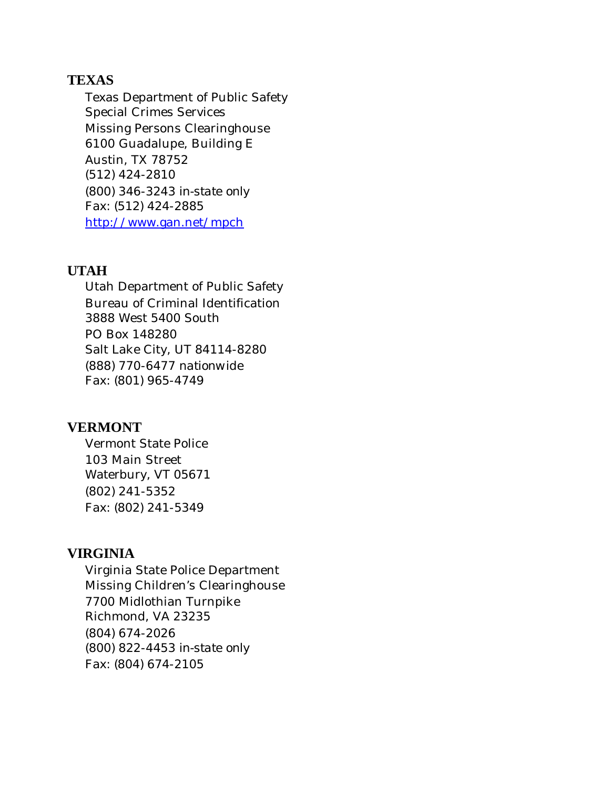## **TEXAS**

Texas Department of Public Safety Special Crimes Services Missing Persons Clearinghouse 6100 Guadalupe, Building E Austin, TX 78752 (512) 424-2810 (800) 346-3243 *in-state only*  Fax: (512) 424-2885 <http://www.gan.net/mpch>

#### **UTAH**

Utah Department of Public Safety Bureau of Criminal Identification 3888 West 5400 South PO Box 148280 Salt Lake City, UT 84114-8280 (888) 770-6477 *nationwide*  Fax: (801) 965-4749

#### **VERMONT**

Vermont State Police 103 Main Street Waterbury, VT 05671 (802) 241-5352 Fax: (802) 241-5349

## **VIRGINIA**

Virginia State Police Department Missing Children's Clearinghouse 7700 Midlothian Turnpike Richmond, VA 23235 (804) 674-2026 (800) 822-4453 *in-state only*  Fax: (804) 674-2105